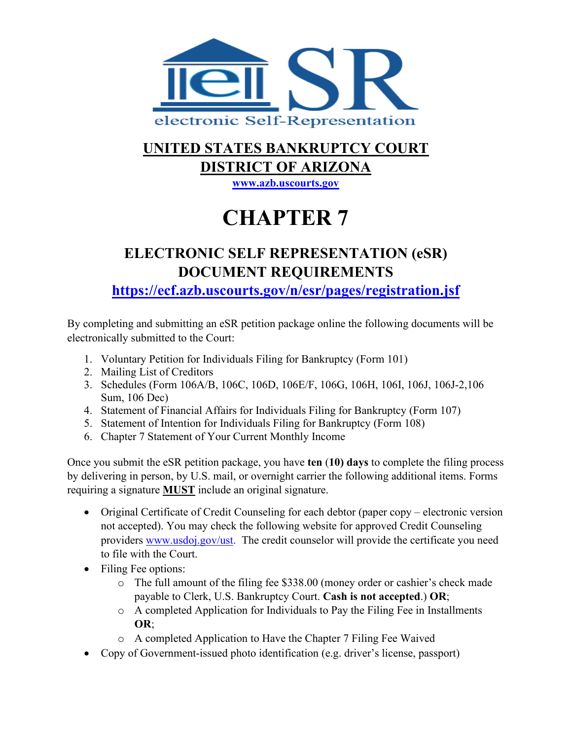

### **UNITED STATES BANKRUPTCY COURT DISTRICT OF ARIZONA**

**[www.azb.uscourts.gov](http://www.azb.uscourts.gov/)**

# **CHAPTER 7**

## **ELECTRONIC SELF REPRESENTATION (eSR) DOCUMENT REQUIREMENTS**

**<https://ecf.azb.uscourts.gov/n/esr/pages/registration.jsf>**

By completing and submitting an eSR petition package online the following documents will be electronically submitted to the Court:

- 1. Voluntary Petition for Individuals Filing for Bankruptcy (Form 101)
- 2. Mailing List of Creditors
- 3. Schedules (Form 106A/B, 106C, 106D, 106E/F, 106G, 106H, 106I, 106J, 106J-2,106 Sum, 106 Dec)
- 4. Statement of Financial Affairs for Individuals Filing for Bankruptcy (Form 107)
- 5. Statement of Intention for Individuals Filing for Bankruptcy (Form 108)
- 6. Chapter 7 Statement of Your Current Monthly Income

Once you submit the eSR petition package, you have **ten** (**10) days** to complete the filing process by delivering in person, by U.S. mail, or overnight carrier the following additional items. Forms requiring a signature **MUST** include an original signature.

- Original Certificate of Credit Counseling for each debtor (paper copy electronic version not accepted). You may check the following website for approved Credit Counseling providers [www.usdoj.gov/ust.](http://www.usdoj.gov/ust) The credit counselor will provide the certificate you need to file with the Court.
- Filing Fee options:
	- o The full amount of the filing fee \$338.00 (money order or cashier's check made payable to Clerk, U.S. Bankruptcy Court. **Cash is not accepted**.) **OR**;
	- o A completed Application for Individuals to Pay the Filing Fee in Installments **OR**;
	- o A completed Application to Have the Chapter 7 Filing Fee Waived
- Copy of Government-issued photo identification (e.g. driver's license, passport)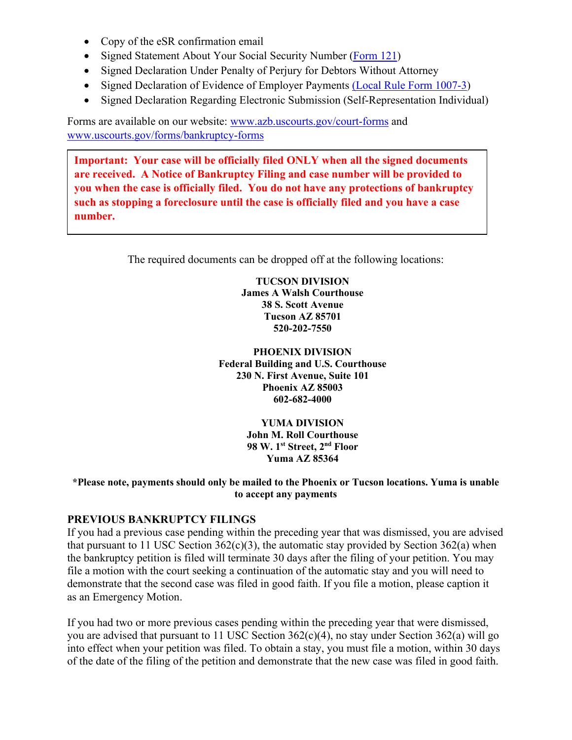- Copy of the eSR confirmation email
- Signed Statement About Your Social Security Number [\(Form 121\)](https://www.uscourts.gov/file/18787/download)
- Signed Declaration Under Penalty of Perjury for Debtors Without Attorney
- Signed Declaration of Evidence of Employer Payments [\(Local Rule Form 1007-3\)](https://azb.uscourts.gov/sites/default/files/Form%201007-2%20Declaration%20of%20Evidence%20of%20Paymentspdf.pdf)
- Signed Declaration Regarding Electronic Submission (Self-Representation Individual)

Forms are available on our website: [www.azb.uscourts.gov/court-forms](http://www.azb.uscourts.gov/court-forms) and [www.uscourts.gov/forms/bankruptcy-forms](http://www.uscourts.gov/forms/bankruptcy-forms)

**Important: Your case will be officially filed ONLY when all the signed documents are received. A Notice of Bankruptcy Filing and case number will be provided to you when the case is officially filed. You do not have any protections of bankruptcy such as stopping a foreclosure until the case is officially filed and you have a case number.** 

The required documents can be dropped off at the following locations:

**TUCSON DIVISION James A Walsh Courthouse 38 S. Scott Avenue Tucson AZ 85701 520-202-7550**

**PHOENIX DIVISION Federal Building and U.S. Courthouse 230 N. First Avenue, Suite 101 Phoenix AZ 85003 602-682-4000**

> **YUMA DIVISION John M. Roll Courthouse 98 W. 1st Street, 2nd Floor Yuma AZ 85364**

#### **\*Please note, payments should only be mailed to the Phoenix or Tucson locations. Yuma is unable to accept any payments**

#### **PREVIOUS BANKRUPTCY FILINGS**

If you had a previous case pending within the preceding year that was dismissed, you are advised that pursuant to 11 USC Section  $362(c)(3)$ , the automatic stay provided by Section  $362(a)$  when the bankruptcy petition is filed will terminate 30 days after the filing of your petition. You may file a motion with the court seeking a continuation of the automatic stay and you will need to demonstrate that the second case was filed in good faith. If you file a motion, please caption it as an Emergency Motion.

If you had two or more previous cases pending within the preceding year that were dismissed, you are advised that pursuant to 11 USC Section 362(c)(4), no stay under Section 362(a) will go into effect when your petition was filed. To obtain a stay, you must file a motion, within 30 days of the date of the filing of the petition and demonstrate that the new case was filed in good faith.